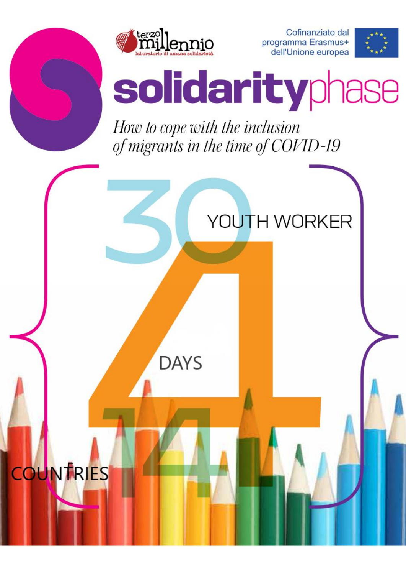

Cofinanziato dal programma Erasmus+ dell'Unione europea



# solidarityphase

How to cope with the inclusion of migrants in the time of COVID-19

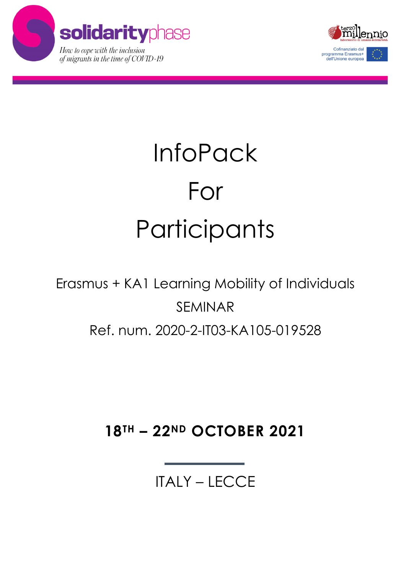



## **InfoPack** For Participants

## Erasmus + KA1 Learning Mobility of Individuals SEMINAR Ref. num. 2020-2-IT03-KA105-019528

### **18TH – 22ND OCTOBER 2021**

ITALY – LECCE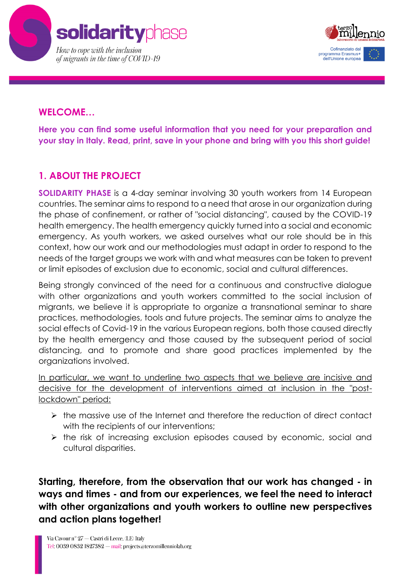



#### **WELCOME…**

**Here you can find some useful information that you need for your preparation and your stay in Italy. Read, print, save in your phone and bring with you this short guide!**

#### **1. ABOUT THE PROJECT**

**SOLIDARITY PHASE** is a 4-day seminar involving 30 youth workers from 14 European countries. The seminar aims to respond to a need that arose in our organization during the phase of confinement, or rather of "social distancing", caused by the COVID-19 health emergency. The health emergency quickly turned into a social and economic emergency. As youth workers, we asked ourselves what our role should be in this context, how our work and our methodologies must adapt in order to respond to the needs of the target groups we work with and what measures can be taken to prevent or limit episodes of exclusion due to economic, social and cultural differences.

Being strongly convinced of the need for a continuous and constructive dialogue with other organizations and youth workers committed to the social inclusion of migrants, we believe it is appropriate to organize a transnational seminar to share practices, methodologies, tools and future projects. The seminar aims to analyze the social effects of Covid-19 in the various European regions, both those caused directly by the health emergency and those caused by the subsequent period of social distancing, and to promote and share good practices implemented by the organizations involved.

In particular, we want to underline two aspects that we believe are incisive and decisive for the development of interventions aimed at inclusion in the "postlockdown" period:

- ➢ the massive use of the Internet and therefore the reduction of direct contact with the recipients of our interventions:
- ➢ the risk of increasing exclusion episodes caused by economic, social and cultural disparities.

**Starting, therefore, from the observation that our work has changed - in ways and times - and from our experiences, we feel the need to interact with other organizations and youth workers to outline new perspectives and action plans together!**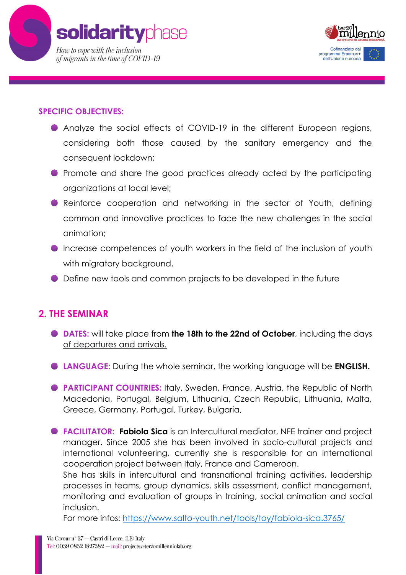



#### **SPECIFIC OBJECTIVES:**

- Analyze the social effects of COVID-19 in the different European regions, considering both those caused by the sanitary emergency and the consequent lockdown;
- Promote and share the good practices already acted by the participating organizations at local level;
- **•** Reinforce cooperation and networking in the sector of Youth, defining common and innovative practices to face the new challenges in the social animation;
- Increase competences of youth workers in the field of the inclusion of youth with migratory background,
- Define new tools and common projects to be developed in the future

#### **2. THE SEMINAR**

- **DATES:** will take place from **the 18th to the 22nd of October**, including the days of departures and arrivals.
- **LANGUAGE:** During the whole seminar, the working language will be **ENGLISH.**
- **PARTICIPANT COUNTRIES:** Italy, Sweden, France, Austria, the Republic of North Macedonia, Portugal, Belgium, Lithuania, Czech Republic, Lithuania, Malta, Greece, Germany, Portugal, Turkey, Bulgaria,
- **FACILITATOR: Fabiola Sica** is an Intercultural mediator, NFE trainer and project manager. Since 2005 she has been involved in socio-cultural projects and international volunteering, currently she is responsible for an international cooperation project between Italy, France and Cameroon.

She has skills in intercultural and transnational training activities, leadership processes in teams, group dynamics, skills assessment, conflict management, monitoring and evaluation of groups in training, social animation and social inclusion.

For more infos:<https://www.salto-youth.net/tools/toy/fabiola-sica.3765/>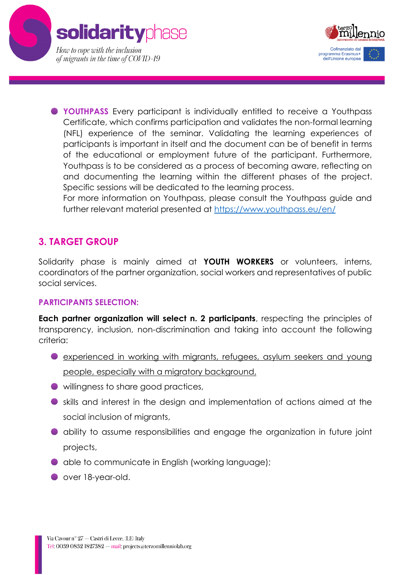



**YOUTHPASS** Every participant is individually entitled to receive a Youthpass Certificate, which confirms participation and validates the non-formal learning (NFL) experience of the seminar. Validating the learning experiences of participants is important in itself and the document can be of benefit in terms of the educational or employment future of the participant. Furthermore, Youthpass is to be considered as a process of becoming aware, reflecting on and documenting the learning within the different phases of the project. Specific sessions will be dedicated to the learning process.

For more information on Youthpass, please consult the Youthpass guide and further relevant material presented at<https://www.youthpass.eu/en/>

#### **3. TARGET GROUP**

Solidarity phase is mainly aimed at **YOUTH WORKERS** or volunteers, interns, coordinators of the partner organization, social workers and representatives of public social services.

#### **PARTICIPANTS SELECTION:**

**Each partner organization will select n. 2 participants**, respecting the principles of transparency, inclusion, non-discrimination and taking into account the following criteria:

- experienced in working with migrants, refugees, asylum seekers and young people, especially with a migratory background,
- willingness to share good practices,
- skills and interest in the design and implementation of actions aimed at the social inclusion of migrants,
- ability to assume responsibilities and engage the organization in future joint projects,
- able to communicate in English (working language);
- over 18-year-old.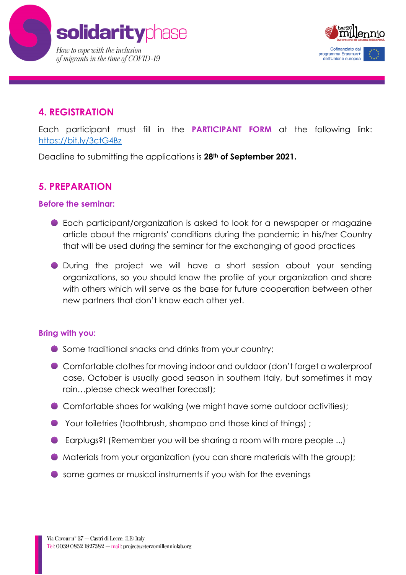



#### **4. REGISTRATION**

Each participant must fill in the **PARTICIPANT FORM** at the following link: <https://bit.ly/3ctG4Bz>

Deadline to submitting the applications is **28th of September 2021.**

#### **5. PREPARATION**

#### **Before the seminar:**

- Each participant/organization is asked to look for a newspaper or magazine article about the migrants' conditions during the pandemic in his/her Country that will be used during the seminar for the exchanging of good practices
- During the project we will have a short session about your sending organizations, so you should know the profile of your organization and share with others which will serve as the base for future cooperation between other new partners that don't know each other yet.

#### **Bring with you:**

- Some traditional snacks and drinks from your country;
- Comfortable clothes for moving indoor and outdoor (don't forget a waterproof case, October is usually good season in southern Italy, but sometimes it may rain…please check weather forecast);
- Comfortable shoes for walking (we might have some outdoor activities);
- Your toiletries (toothbrush, shampoo and those kind of things) ;
- Earplugs?! (Remember you will be sharing a room with more people ...)
- $\bullet$  Materials from your organization (you can share materials with the group);
- some games or musical instruments if you wish for the evenings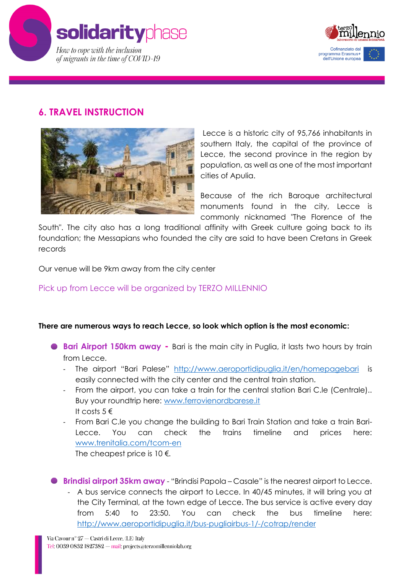



#### **6. TRAVEL INSTRUCTION**



Lecce is a historic city of 95,766 inhabitants in southern Italy, the capital of the province of Lecce, the second province in the region by population, as well as one of the most important cities of Apulia.

Because of the rich Baroque architectural monuments found in the city, Lecce is commonly nicknamed "The Florence of the

South". The city also has a long traditional affinity with Greek culture going back to its foundation; the Messapians who founded the city are said to have been Cretans in Greek records

Our venue will be 9km away from the city center

#### Pick up from Lecce will be organized by TERZO MILLENNIO

#### **There are numerous ways to reach Lecce, so look which option is the most economic:**

- **Bari Airport 150km away** Bari is the main city in Puglia, it lasts two hours by train from Lecce.
	- The airport "Bari Palese" <http://www.aeroportidipuglia.it/en/homepagebari> is easily connected with the city center and the central train station.
	- From the airport, you can take a train for the central station Bari C.le (Centrale).. Buy your roundtrip here: [www.ferrovienordbarese.it](http://www.ferrovienordbarese.it/) It costs  $5 \in$
	- From Bari C.le you change the building to Bari Train Station and take a train Bari-Lecce. You can check the trains timeline and prices here: [www.trenitalia.com/tcom-en](http://www.trenitalia.com/tcom-en) The cheapest price is  $10 \in$ .

**Brindisi airport 35km away** - "Brindisi Papola – Casale" is the nearest airport to Lecce.

- A bus service connects the airport to Lecce. In 40/45 minutes, it will bring you at the City Terminal, at the town edge of Lecce. The bus service is active every day from 5:40 to 23:50. You can check the bus timeline here: <http://www.aeroportidipuglia.it/bus-pugliairbus-1/-/cotrap/render>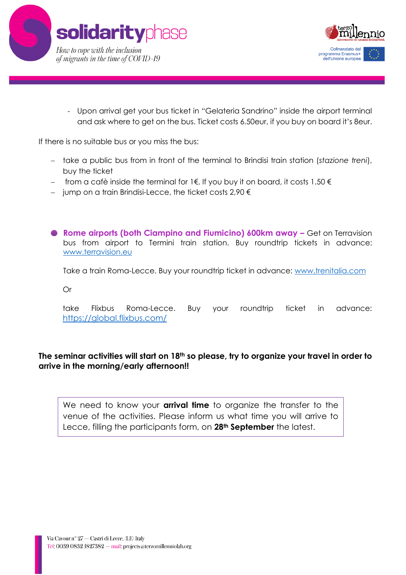



- Upon arrival get your bus ticket in "Gelateria Sandrino" inside the airport terminal and ask where to get on the bus. Ticket costs 6.50eur, if you buy on board it's 8eur.

If there is no suitable bus or you miss the bus:

- − take a public bus from in front of the terminal to Brindisi train station (*stazione treni*), buy the ticket
- − from a cafè inside the terminal for 1€. If you buy it on board, it costs 1.50 €
- − jump on a train Brindisi-Lecce, the ticket costs 2,90 €
- **Rome airports (both Ciampino and Fiumicino) 600km away –** Get on Terravision bus from airport to Termini train station. Buy roundtrip tickets in advance: [www.terravision.eu](http://www.terravision.eu/)

Take a train Roma-Lecce. Buy your roundtrip ticket in advance: [www.trenitalia.com](http://www.trenitalia.com/)

Or

take Flixbus Roma-Lecce. Buy your roundtrip ticket in advance: <https://global.flixbus.com/>

#### **The seminar activities will start on 18th so please, try to organize your travel in order to arrive in the morning/early afternoon!!**

We need to know your **arrival time** to organize the transfer to the venue of the activities. Please inform us what time you will arrive to Lecce, filling the participants form, on **28th September** the latest.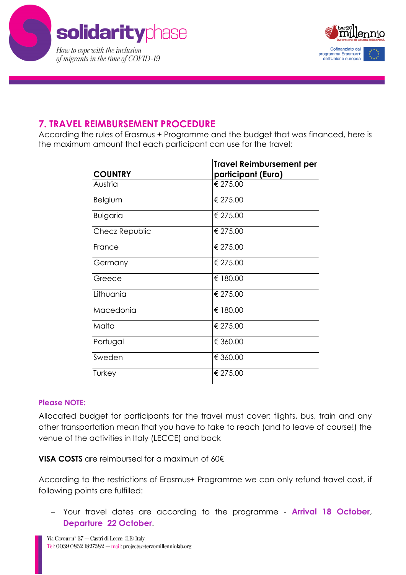



#### **7. TRAVEL REIMBURSEMENT PROCEDURE**

According the rules of Erasmus + Programme and the budget that was financed, here is the maximum amount that each participant can use for the travel:

|                 | <b>Travel Reimbursement per</b> |
|-----------------|---------------------------------|
| <b>COUNTRY</b>  | participant (Euro)              |
| Austria         | € 275.00                        |
| Belgium         | € 275.00                        |
| <b>Bulgaria</b> | € 275.00                        |
| Checz Republic  | € 275.00                        |
| France          | € 275.00                        |
| Germany         | € 275.00                        |
| Greece          | € 180.00                        |
| Lithuania       | € 275.00                        |
| Macedonia       | € 180.00                        |
| Malta           | € 275.00                        |
| Portugal        | € 360.00                        |
| Sweden          | € 360.00                        |
| Turkey          | € 275.00                        |

#### **Please NOTE:**

Allocated budget for participants for the travel must cover: flights, bus, train and any other transportation mean that you have to take to reach (and to leave of course!) the venue of the activities in Italy (LECCE) and back

**VISA COSTS** are reimbursed for a maximun of 60€

According to the restrictions of Erasmus+ Programme we can only refund travel cost, if following points are fulfilled:

− Your travel dates are according to the programme - **Arrival 18 October**, **Departure 22 October**.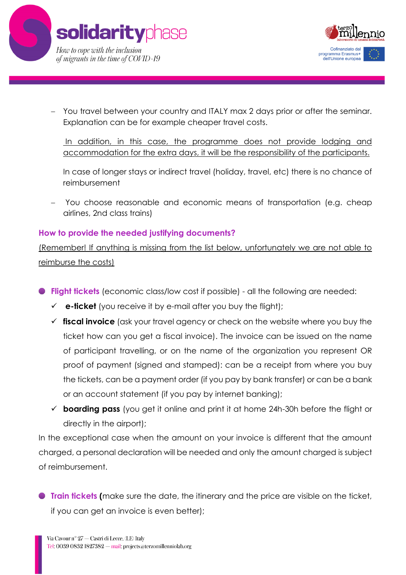



− You travel between your country and ITALY max 2 days prior or after the seminar. Explanation can be for example cheaper travel costs.

In addition, in this case, the programme does not provide lodging and accommodation for the extra days, it will be the responsibility of the participants.

In case of longer stays or indirect travel (holiday, travel, etc) there is no chance of reimbursement

− You choose reasonable and economic means of transportation (e.g. cheap airlines, 2nd class trains)

#### **How to provide the needed justifying documents?**

(Remember! If anything is missing from the list below, unfortunately we are not able to reimburse the costs)

- **Flight tickets** (economic class/low cost if possible) all the following are needed:
	- $\checkmark$  **e-ficket** (you receive it by e-mail after you buy the flight);
	- ✓ **fiscal invoice** (ask your travel agency or check on the website where you buy the ticket how can you get a fiscal invoice). The invoice can be issued on the name of participant travelling, or on the name of the organization you represent OR proof of payment (signed and stamped): can be a receipt from where you buy the tickets, can be a payment order (if you pay by bank transfer) or can be a bank or an account statement (if you pay by internet banking);
	- ✓ **boarding pass** (you get it online and print it at home 24h-30h before the flight or directly in the airport);

In the exceptional case when the amount on your invoice is different that the amount charged, a personal declaration will be needed and only the amount charged is subject of reimbursement.

**Train tickets (**make sure the date, the itinerary and the price are visible on the ticket, if you can get an invoice is even better);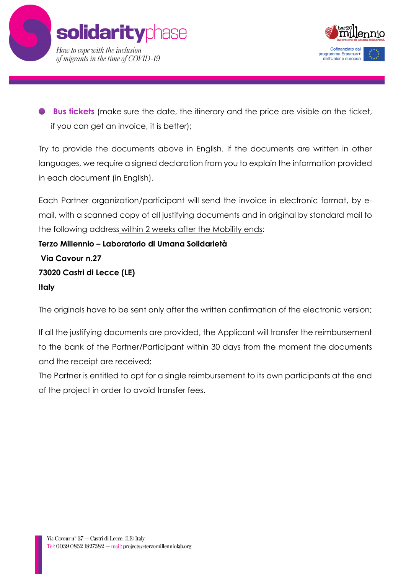



**Bus tickets** (make sure the date, the itinerary and the price are visible on the ticket, if you can get an invoice, it is better);

Try to provide the documents above in English. If the documents are written in other languages, we require a signed declaration from you to explain the information provided in each document (in English).

Each Partner organization/participant will send the invoice in electronic format, by email, with a scanned copy of all justifying documents and in original by standard mail to the following address within 2 weeks after the Mobility ends:

**Terzo Millennio – Laboratorio di Umana Solidarietà Via Cavour n.27 73020 Castri di Lecce (LE) Italy**

The originals have to be sent only after the written confirmation of the electronic version;

If all the justifying documents are provided, the Applicant will transfer the reimbursement to the bank of the Partner/Participant within 30 days from the moment the documents and the receipt are received;

The Partner is entitled to opt for a single reimbursement to its own participants at the end of the project in order to avoid transfer fees.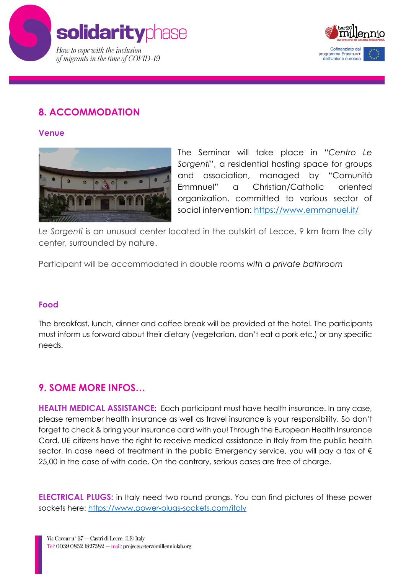



#### **8. ACCOMMODATION**

**Venue**



The Seminar will take place in "*Centro Le Sorgenti*", a residential hosting space for groups and association, managed by "Comunità Emmnuel" a Christian/Catholic oriented organization, committed to various sector of social intervention: <https://www.emmanuel.it/>

*Le Sorgenti* is an unusual center located in the outskirt of Lecce, 9 km from the city center, surrounded by nature.

Participant will be accommodated in double rooms *with a private bathroom*

#### **Food**

The breakfast, lunch, dinner and coffee break will be provided at the hotel. The participants must inform us forward about their dietary (vegetarian, don't eat a pork etc.) or any specific needs.

#### **9. SOME MORE INFOS…**

**HEALTH MEDICAL ASSISTANCE**: Each participant must have health insurance. In any case, please remember health insurance as well as travel insurance is your responsibility. So don't forget to check & bring your insurance card with you! Through the European Health Insurance Card, UE citizens have the right to receive medical assistance in Italy from the public health sector. In case need of treatment in the public Emergency service, you will pay a tax of  $\epsilon$ 25,00 in the case of with code. On the contrary, serious cases are free of charge.

**ELECTRICAL PLUGS:** in Italy need two round prongs. You can find pictures of these power sockets here:<https://www.power-plugs-sockets.com/italy>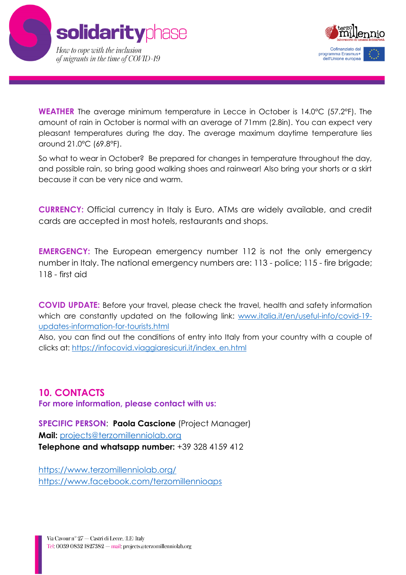



**WEATHER** The average minimum temperature in Lecce in October is 14.0°C (57.2°F). The amount of rain in October is normal with an average of 71mm (2.8in). You can expect very pleasant temperatures during the day. The average maximum daytime temperature lies around 21.0°C (69.8°F).

So what to wear in October? Be prepared for changes in temperature throughout the day, and possible rain, so bring good walking shoes and rainwear! Also bring your shorts or a skirt because it can be very nice and warm.

**CURRENCY:** Official currency in Italy is Euro. ATMs are widely available, and credit cards are accepted in most hotels, restaurants and shops.

**EMERGENCY:** The European emergency number 112 is not the only emergency number in Italy. The national emergency numbers are: 113 - police; 115 - fire brigade; 118 - first aid

**COVID UPDATE:** Before your travel, please check the travel, health and safety information which are constantly updated on the following link: [www.italia.it/en/useful-info/covid-19](http://www.italia.it/en/useful-info/covid-19-updates-information-for-tourists.html) [updates-information-for-tourists.html](http://www.italia.it/en/useful-info/covid-19-updates-information-for-tourists.html)

Also, you can find out the conditions of entry into Italy from your country with a couple of clicks at: [https://infocovid.viaggiaresicuri.it/index\\_en.html](https://infocovid.viaggiaresicuri.it/index_en.html)

#### **10. CONTACTS**

**For more information, please contact with us:** 

**SPECIFIC PERSON**: **Paola Cascione** (Project Manager) **Mail:** [projects@terzomillenniolab.org](mailto:projects@terzomillenniolab.org) **Telephone and whatsapp number:** +39 328 4159 412

<https://www.terzomillenniolab.org/> <https://www.facebook.com/terzomillennioaps>